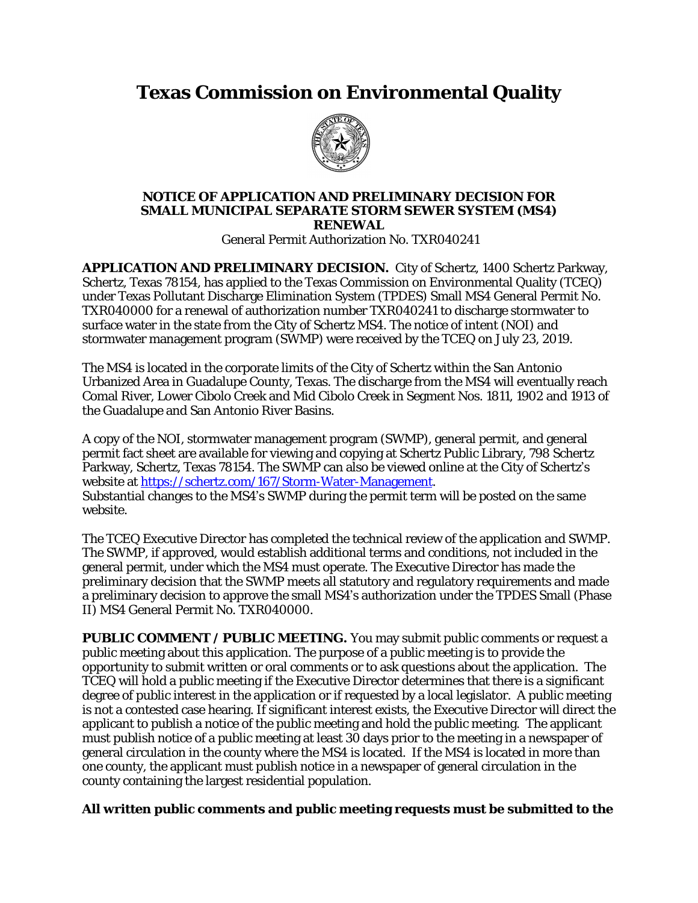## **Texas Commission on Environmental Quality**



## **NOTICE OF APPLICATION AND PRELIMINARY DECISION FOR SMALL MUNICIPAL SEPARATE STORM SEWER SYSTEM (MS4) RENEWAL**

General Permit Authorization No. TXR040241

**APPLICATION AND PRELIMINARY DECISION.** City of Schertz, 1400 Schertz Parkway, Schertz, Texas 78154, has applied to the Texas Commission on Environmental Quality (TCEQ) under Texas Pollutant Discharge Elimination System (TPDES) Small MS4 General Permit No. TXR040000 for a renewal of authorization number TXR040241 to discharge stormwater to surface water in the state from the City of Schertz MS4. The notice of intent (NOI) and stormwater management program (SWMP) were received by the TCEQ on July 23, 2019.

The MS4 is located in the corporate limits of the City of Schertz within the San Antonio Urbanized Area in Guadalupe County, Texas. The discharge from the MS4 will eventually reach Comal River, Lower Cibolo Creek and Mid Cibolo Creek in Segment Nos. 1811, 1902 and 1913 of the Guadalupe and San Antonio River Basins.

A copy of the NOI, stormwater management program (SWMP), general permit, and general permit fact sheet are available for viewing and copying at Schertz Public Library, 798 Schertz Parkway, Schertz, Texas 78154. The SWMP can also be viewed online at the City of Schertz's website at [https://schertz.com/167/Storm-Water-Management.](https://schertz.com/167/Storm-Water-Management) [Substantial changes to the](https://schertz.com/167/Storm-Water-Management) [MS4](https://schertz.com/167/Storm-Water-Management)['](https://schertz.com/167/Storm-Water-Management)[s SWMP during the permit term will be posted on](https://schertz.com/167/Storm-Water-Management) [the same](https://schertz.com/167/Storm-Water-Management) [website.](https://schertz.com/167/Storm-Water-Management)

[The](https://schertz.com/167/Storm-Water-Management) [TCEQ Executive Director has completed the technical review of the application and SWMP.](https://schertz.com/167/Storm-Water-Management)  [The SWMP,](https://schertz.com/167/Storm-Water-Management) [if approved, would establish additional terms and conditions,](https://schertz.com/167/Storm-Water-Management) [not included in the](https://schertz.com/167/Storm-Water-Management)  [general permit,](https://schertz.com/167/Storm-Water-Management) [under which the MS4 must operate.](https://schertz.com/167/Storm-Water-Management) [The Executive Director has made the](https://schertz.com/167/Storm-Water-Management) [preliminary decision that the](https://schertz.com/167/Storm-Water-Management) [SWMP meets all statutory](https://schertz.com/167/Storm-Water-Management) [and regulatory requirements](https://schertz.com/167/Storm-Water-Management) [and made](https://schertz.com/167/Storm-Water-Management)  [a preliminary decision to approve](https://schertz.com/167/Storm-Water-Management) [the small MS4](https://schertz.com/167/Storm-Water-Management)['](https://schertz.com/167/Storm-Water-Management)[s authorization under the TPDES Small \(Phase](https://schertz.com/167/Storm-Water-Management)  [II\) MS4 General Permit No. TXR040000.](https://schertz.com/167/Storm-Water-Management)

**[PUBLIC COMMENT](https://schertz.com/167/Storm-Water-Management) [/ PUBLIC MEETING.](https://schertz.com/167/Storm-Water-Management)** [You may submit public comments or request a](https://schertz.com/167/Storm-Water-Management)  [public meeting about this application.](https://schertz.com/167/Storm-Water-Management) [The purpose of a public meeting is to provide the](https://schertz.com/167/Storm-Water-Management)  [opportunity to submit written or oral comments or to ask questions about the application. The](https://schertz.com/167/Storm-Water-Management)  [TCEQ will hold a public meeting if the Executive Director determines that there is a significant](https://schertz.com/167/Storm-Water-Management)  [degree of public interest in the application or if requested by a local legislator. A public meeting](https://schertz.com/167/Storm-Water-Management)  [is not a contested case hearing.](https://schertz.com/167/Storm-Water-Management) [If significant interest exists, the Executive Director will direct the](https://schertz.com/167/Storm-Water-Management) [applicant to publish a notice of the public meeting and hold the public meeting. The applicant](https://schertz.com/167/Storm-Water-Management)  [must publish notice of a public meeting at least 30 days prior to the meeting in a newspaper of](https://schertz.com/167/Storm-Water-Management)  [general circulation in the county where the](https://schertz.com/167/Storm-Water-Management) [MS4 is located. If the MS4 is located in more than](https://schertz.com/167/Storm-Water-Management)  [one county, the applicant must publish notice in a newspaper of general circulation in the](https://schertz.com/167/Storm-Water-Management)  [county containing the largest residential population.](https://schertz.com/167/Storm-Water-Management)

## **[All](https://schertz.com/167/Storm-Water-Management) [written public comments and public meeting requests](https://schertz.com/167/Storm-Water-Management) [must be submitted to the](https://schertz.com/167/Storm-Water-Management)**